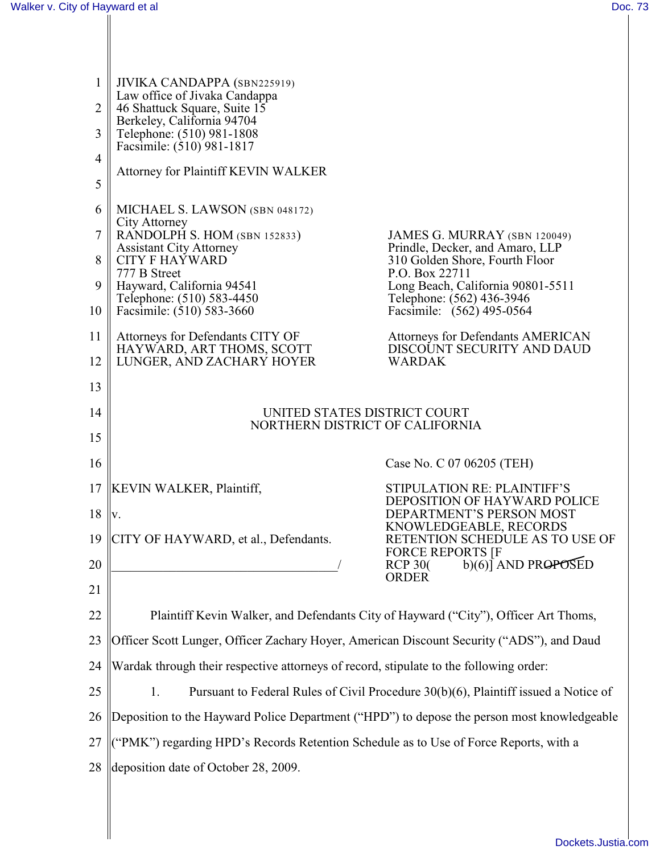| $\mathbf{1}$   | JIVIKA CANDAPPA (SBN225919)<br>Law office of Jivaka Candappa                                |                                                                                      |
|----------------|---------------------------------------------------------------------------------------------|--------------------------------------------------------------------------------------|
| $\overline{2}$ | 46 Shattuck Square, Suite 15<br>Berkeley, California 94704                                  |                                                                                      |
| 3              | Telephone: (510) 981-1808<br>Facsimile: (510) 981-1817                                      |                                                                                      |
| $\overline{4}$ | <b>Attorney for Plaintiff KEVIN WALKER</b>                                                  |                                                                                      |
| 5              |                                                                                             |                                                                                      |
| 6              | MICHAEL S. LAWSON (SBN 048172)<br>City Attorney                                             |                                                                                      |
| 7              | RANDOLPH S. HOM (SBN 152833)                                                                | JAMES G. MURRAY (SBN 120049)                                                         |
| 8              | <b>Assistant City Attorney</b><br><b>CITY F HAYWARD</b><br>777 B Street                     | Prindle, Decker, and Amaro, LLP<br>310 Golden Shore, Fourth Floor<br>P.O. Box 22711  |
| 9              | Hayward, California 94541                                                                   | Long Beach, California 90801-5511                                                    |
| 10             | Telephone: (510) 583-4450<br>Facsimile: (510) 583-3660                                      | Telephone: (562) 436-3946<br>Facsimile: (562) 495-0564                               |
| 11             | Attorneys for Defendants CITY OF                                                            | <b>Attorneys for Defendants AMERICAN</b>                                             |
| 12             | HAYWARD, ART THOMS, SCOTT<br>LUNGER, AND ZACHARY HOYER                                      | DISCOUNT SECURITY AND DAUD<br><b>WARDAK</b>                                          |
| 13             |                                                                                             |                                                                                      |
| 14             | UNITED STATES DISTRICT COURT<br>NORTHERN DISTRICT OF CALIFORNIA                             |                                                                                      |
| 15             |                                                                                             |                                                                                      |
| 16             |                                                                                             | Case No. C 07 06205 (TEH)                                                            |
| 17             | <b>KEVIN WALKER, Plaintiff,</b>                                                             | <b>STIPULATION RE: PLAINTIFF'S</b><br>DEPOSITION OF HAYWARD POLICE                   |
| 18             | IV.                                                                                         | DEPARTMENT'S PERSON MOST                                                             |
| 19             | CITY OF HAYWARD, et al., Defendants.                                                        | KNOWLEDGEABLE, RECORDS<br>RETENTION SCHEDULE AS TO USE OF<br><b>FORCE REPORTS [F</b> |
| 20             |                                                                                             | b)(6)] AND PROPOSED<br><b>RCP 30(</b><br><b>ORDER</b>                                |
| 21             |                                                                                             |                                                                                      |
| 22             | Plaintiff Kevin Walker, and Defendants City of Hayward ("City"), Officer Art Thoms,         |                                                                                      |
| 23             | Officer Scott Lunger, Officer Zachary Hoyer, American Discount Security ("ADS"), and Daud   |                                                                                      |
| 24             | Wardak through their respective attorneys of record, stipulate to the following order:      |                                                                                      |
| 25             | 1.<br>Pursuant to Federal Rules of Civil Procedure 30(b)(6), Plaintiff issued a Notice of   |                                                                                      |
| 26             | Deposition to the Hayward Police Department ("HPD") to depose the person most knowledgeable |                                                                                      |
| 27             | ("PMK") regarding HPD's Records Retention Schedule as to Use of Force Reports, with a       |                                                                                      |
| 28             | deposition date of October 28, 2009.                                                        |                                                                                      |